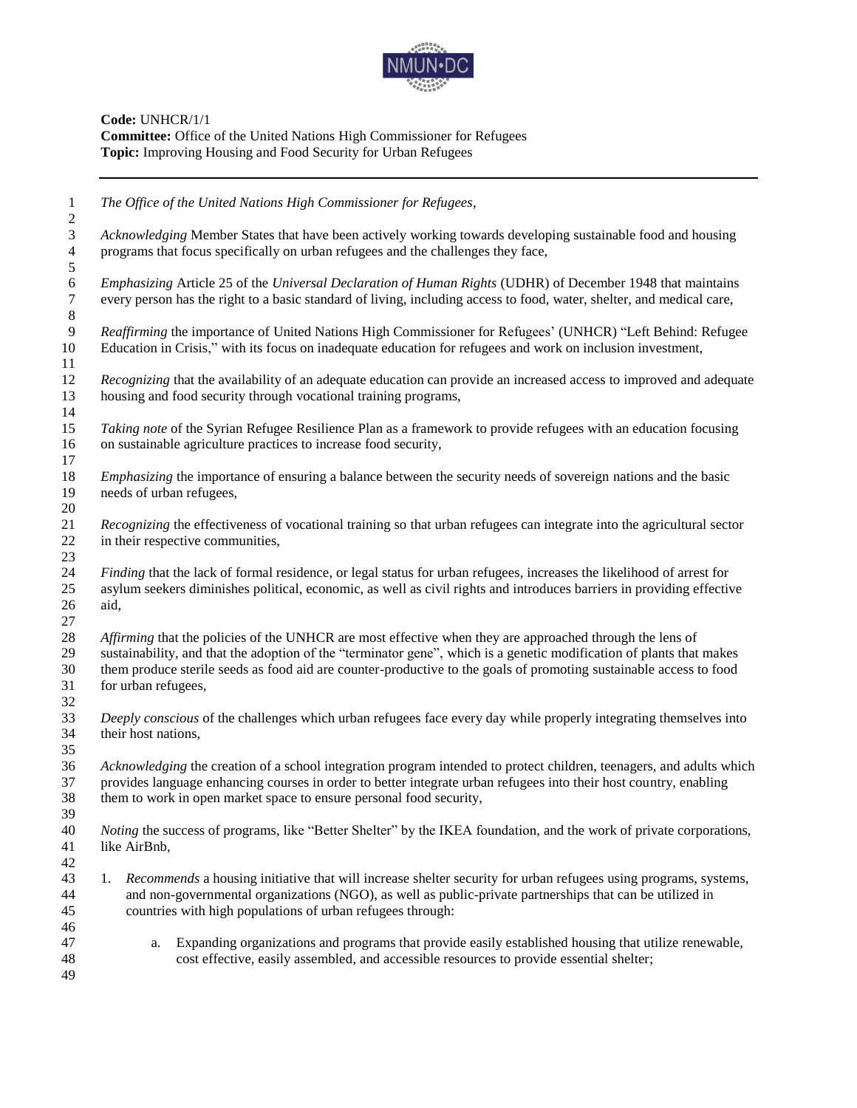

**Code:** UNHCR/1/1 **Committee:** Office of the United Nations High Commissioner for Refugees **Topic:** Improving Housing and Food Security for Urban Refugees

 *The Office of the United Nations High Commissioner for Refugees, Acknowledging* Member States that have been actively working towards developing sustainable food and housing programs that focus specifically on urban refugees and the challenges they face, *Emphasizing* Article 25 of the *Universal Declaration of Human Rights* (UDHR) of December 1948 that maintains every person has the right to a basic standard of living, including access to food, water, shelter, and medical care, *Reaffirming* the importance of United Nations High Commissioner for Refugees' (UNHCR) "Left Behind: Refugee Education in Crisis," with its focus on inadequate education for refugees and work on inclusion investment, *Recognizing* that the availability of an adequate education can provide an increased access to improved and adequate housing and food security through vocational training programs, *Taking note* of the Syrian Refugee Resilience Plan as a framework to provide refugees with an education focusing on sustainable agriculture practices to increase food security, *Emphasizing* the importance of ensuring a balance between the security needs of sovereign nations and the basic needs of urban refugees, *Recognizing* the effectiveness of vocational training so that urban refugees can integrate into the agricultural sector in their respective communities, *Finding* that the lack of formal residence, or legal status for urban refugees, increases the likelihood of arrest for asylum seekers diminishes political, economic, as well as civil rights and introduces barriers in providing effective aid, *Affirming* that the policies of the UNHCR are most effective when they are approached through the lens of sustainability, and that the adoption of the "terminator gene", which is a genetic modification of plants that makes them produce sterile seeds as food aid are counter-productive to the goals of promoting sustainable access to food for urban refugees, *Deeply conscious* of the challenges which urban refugees face every day while properly integrating themselves into their host nations, *Acknowledging* the creation of a school integration program intended to protect children, teenagers, and adults which provides language enhancing courses in order to better integrate urban refugees into their host country, enabling them to work in open market space to ensure personal food security, *Noting* the success of programs, like "Better Shelter" by the IKEA foundation, and the work of private corporations, like AirBnb, 1. *Recommends* a housing initiative that will increase shelter security for urban refugees using programs, systems, and non-governmental organizations (NGO), as well as public-private partnerships that can be utilized in countries with high populations of urban refugees through: a. Expanding organizations and programs that provide easily established housing that utilize renewable, cost effective, easily assembled, and accessible resources to provide essential shelter;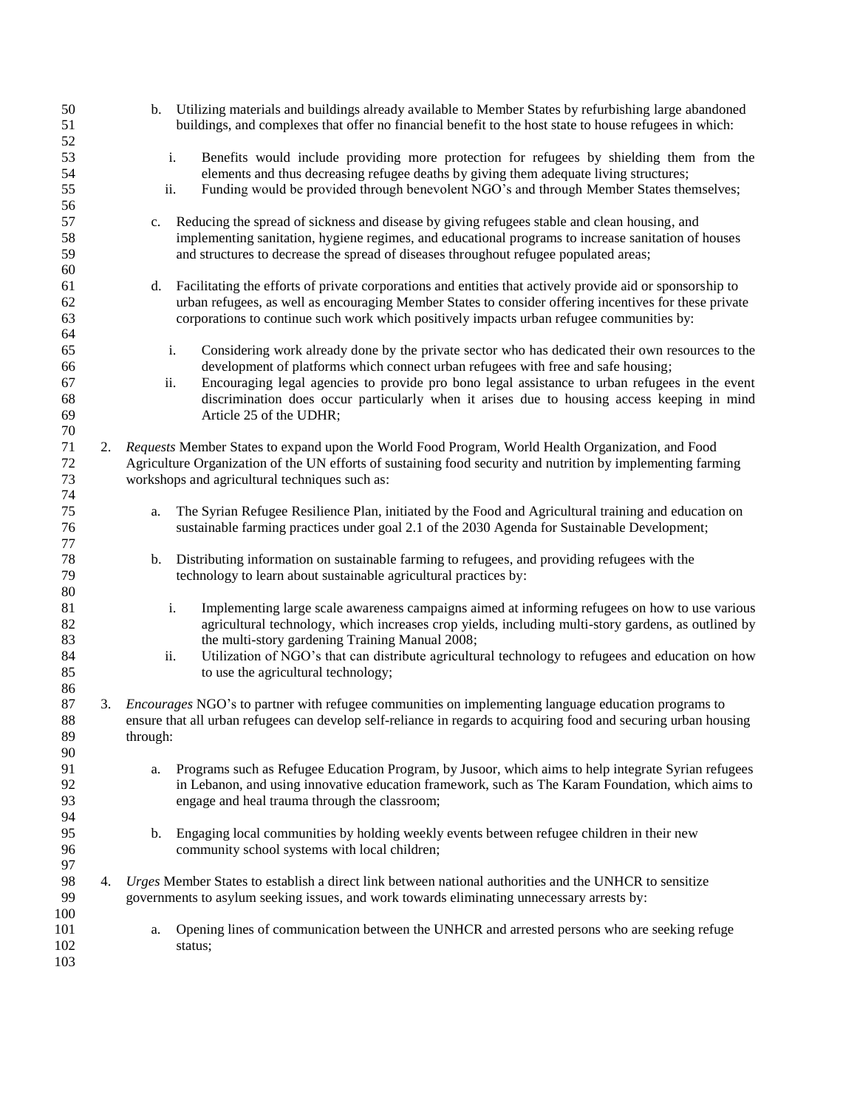| 50<br>51 |    |          | b. Utilizing materials and buildings already available to Member States by refurbishing large abandoned<br>buildings, and complexes that offer no financial benefit to the host state to house refugees in which: |
|----------|----|----------|-------------------------------------------------------------------------------------------------------------------------------------------------------------------------------------------------------------------|
| 52       |    |          |                                                                                                                                                                                                                   |
| 53       |    | i.       | Benefits would include providing more protection for refugees by shielding them from the                                                                                                                          |
| 54       |    |          | elements and thus decreasing refugee deaths by giving them adequate living structures;                                                                                                                            |
| 55       |    | ii.      | Funding would be provided through benevolent NGO's and through Member States themselves;                                                                                                                          |
| 56       |    |          |                                                                                                                                                                                                                   |
| 57       |    | c.       | Reducing the spread of sickness and disease by giving refugees stable and clean housing, and                                                                                                                      |
| 58       |    |          | implementing sanitation, hygiene regimes, and educational programs to increase sanitation of houses                                                                                                               |
| 59       |    |          | and structures to decrease the spread of diseases throughout refugee populated areas;                                                                                                                             |
| 60       |    |          |                                                                                                                                                                                                                   |
| 61       |    | d.       | Facilitating the efforts of private corporations and entities that actively provide aid or sponsorship to                                                                                                         |
| 62       |    |          |                                                                                                                                                                                                                   |
|          |    |          | urban refugees, as well as encouraging Member States to consider offering incentives for these private                                                                                                            |
| 63       |    |          | corporations to continue such work which positively impacts urban refugee communities by:                                                                                                                         |
| 64       |    |          |                                                                                                                                                                                                                   |
| 65       |    | i.       | Considering work already done by the private sector who has dedicated their own resources to the                                                                                                                  |
| 66       |    |          | development of platforms which connect urban refugees with free and safe housing;                                                                                                                                 |
| 67       |    | ii.      | Encouraging legal agencies to provide pro bono legal assistance to urban refugees in the event                                                                                                                    |
| 68       |    |          | discrimination does occur particularly when it arises due to housing access keeping in mind                                                                                                                       |
| 69       |    |          | Article 25 of the UDHR;                                                                                                                                                                                           |
| 70       |    |          |                                                                                                                                                                                                                   |
| 71       |    |          | 2. Requests Member States to expand upon the World Food Program, World Health Organization, and Food                                                                                                              |
| 72       |    |          | Agriculture Organization of the UN efforts of sustaining food security and nutrition by implementing farming                                                                                                      |
| 73       |    |          | workshops and agricultural techniques such as:                                                                                                                                                                    |
| 74       |    |          |                                                                                                                                                                                                                   |
| 75       |    | a.       | The Syrian Refugee Resilience Plan, initiated by the Food and Agricultural training and education on                                                                                                              |
| 76       |    |          | sustainable farming practices under goal 2.1 of the 2030 Agenda for Sustainable Development;                                                                                                                      |
| 77       |    |          |                                                                                                                                                                                                                   |
| $78\,$   |    | b.       | Distributing information on sustainable farming to refugees, and providing refugees with the                                                                                                                      |
| 79       |    |          | technology to learn about sustainable agricultural practices by:                                                                                                                                                  |
| 80       |    |          |                                                                                                                                                                                                                   |
| 81       |    | i.       | Implementing large scale awareness campaigns aimed at informing refugees on how to use various                                                                                                                    |
| 82       |    |          | agricultural technology, which increases crop yields, including multi-story gardens, as outlined by                                                                                                               |
| 83       |    |          | the multi-story gardening Training Manual 2008;                                                                                                                                                                   |
| 84       |    | ii.      | Utilization of NGO's that can distribute agricultural technology to refugees and education on how                                                                                                                 |
| 85       |    |          | to use the agricultural technology;                                                                                                                                                                               |
| 86       |    |          |                                                                                                                                                                                                                   |
|          |    |          |                                                                                                                                                                                                                   |
| 87       |    |          | 3. <i>Encourages</i> NGO's to partner with refugee communities on implementing language education programs to                                                                                                     |
| 88       |    |          | ensure that all urban refugees can develop self-reliance in regards to acquiring food and securing urban housing                                                                                                  |
| 89       |    | through: |                                                                                                                                                                                                                   |
| 90       |    |          |                                                                                                                                                                                                                   |
| 91       |    | a.       | Programs such as Refugee Education Program, by Jusoor, which aims to help integrate Syrian refugees                                                                                                               |
| 92       |    |          | in Lebanon, and using innovative education framework, such as The Karam Foundation, which aims to                                                                                                                 |
| 93       |    |          | engage and heal trauma through the classroom;                                                                                                                                                                     |
| 94       |    |          |                                                                                                                                                                                                                   |
| 95       |    | b.       | Engaging local communities by holding weekly events between refugee children in their new                                                                                                                         |
| 96       |    |          | community school systems with local children;                                                                                                                                                                     |
| 97       |    |          |                                                                                                                                                                                                                   |
| 98       | 4. |          | Urges Member States to establish a direct link between national authorities and the UNHCR to sensitize                                                                                                            |
| 99       |    |          | governments to asylum seeking issues, and work towards eliminating unnecessary arrests by:                                                                                                                        |
| 100      |    |          |                                                                                                                                                                                                                   |
| 101      |    | a.       | Opening lines of communication between the UNHCR and arrested persons who are seeking refuge                                                                                                                      |
| 102      |    |          | status;                                                                                                                                                                                                           |
| 103      |    |          |                                                                                                                                                                                                                   |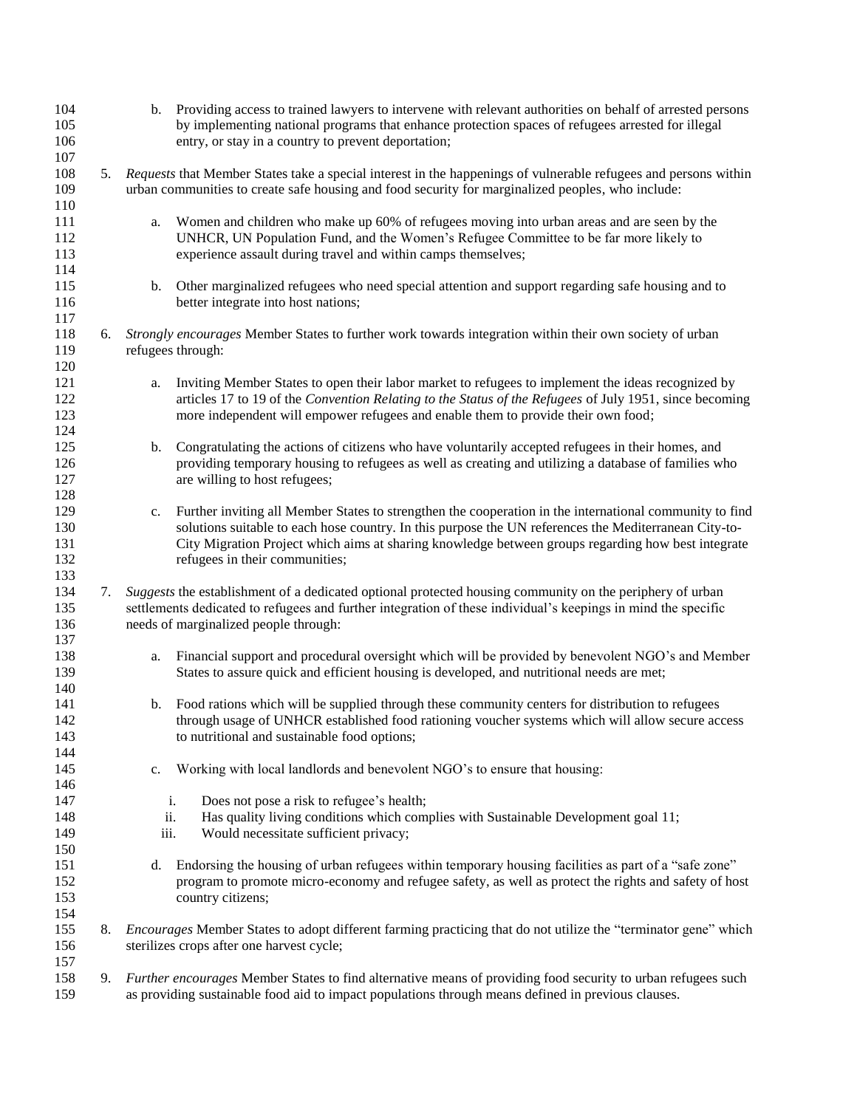| 104        |    |      | b. Providing access to trained lawyers to intervene with relevant authorities on behalf of arrested persons     |
|------------|----|------|-----------------------------------------------------------------------------------------------------------------|
| 105        |    |      | by implementing national programs that enhance protection spaces of refugees arrested for illegal               |
| 106        |    |      | entry, or stay in a country to prevent deportation;                                                             |
| 107        |    |      |                                                                                                                 |
| 108        | 5. |      | Requests that Member States take a special interest in the happenings of vulnerable refugees and persons within |
| 109        |    |      | urban communities to create safe housing and food security for marginalized peoples, who include:               |
| 110        |    |      |                                                                                                                 |
| 111        |    | a.   | Women and children who make up 60% of refugees moving into urban areas and are seen by the                      |
| 112        |    |      | UNHCR, UN Population Fund, and the Women's Refugee Committee to be far more likely to                           |
| 113        |    |      | experience assault during travel and within camps themselves;                                                   |
| 114        |    |      |                                                                                                                 |
| 115        |    | b.   | Other marginalized refugees who need special attention and support regarding safe housing and to                |
| 116        |    |      | better integrate into host nations;                                                                             |
| 117        |    |      |                                                                                                                 |
|            |    |      |                                                                                                                 |
| 118        | 6. |      | Strongly encourages Member States to further work towards integration within their own society of urban         |
| 119        |    |      | refugees through:                                                                                               |
| 120        |    |      |                                                                                                                 |
| 121        |    | a.   | Inviting Member States to open their labor market to refugees to implement the ideas recognized by              |
| 122        |    |      | articles 17 to 19 of the Convention Relating to the Status of the Refugees of July 1951, since becoming         |
| 123        |    |      | more independent will empower refugees and enable them to provide their own food;                               |
| 124        |    |      |                                                                                                                 |
| 125        |    | b.   | Congratulating the actions of citizens who have voluntarily accepted refugees in their homes, and               |
| 126        |    |      | providing temporary housing to refugees as well as creating and utilizing a database of families who            |
| 127        |    |      | are willing to host refugees;                                                                                   |
| 128        |    |      |                                                                                                                 |
| 129        |    | c.   | Further inviting all Member States to strengthen the cooperation in the international community to find         |
| 130        |    |      | solutions suitable to each hose country. In this purpose the UN references the Mediterranean City-to-           |
| 131        |    |      | City Migration Project which aims at sharing knowledge between groups regarding how best integrate              |
| 132        |    |      | refugees in their communities;                                                                                  |
| 133        |    |      |                                                                                                                 |
| 134        | 7. |      | Suggests the establishment of a dedicated optional protected housing community on the periphery of urban        |
| 135        |    |      | settlements dedicated to refugees and further integration of these individual's keepings in mind the specific   |
| 136        |    |      | needs of marginalized people through:                                                                           |
| 137        |    |      |                                                                                                                 |
| 138        |    | a.   | Financial support and procedural oversight which will be provided by benevolent NGO's and Member                |
| 139        |    |      | States to assure quick and efficient housing is developed, and nutritional needs are met;                       |
| 140        |    |      |                                                                                                                 |
| 141        |    | b.   | Food rations which will be supplied through these community centers for distribution to refugees                |
| 142        |    |      | through usage of UNHCR established food rationing voucher systems which will allow secure access                |
| 143        |    |      | to nutritional and sustainable food options;                                                                    |
| 144        |    |      |                                                                                                                 |
| 145        |    | c.   | Working with local landlords and benevolent NGO's to ensure that housing:                                       |
| 146        |    |      |                                                                                                                 |
| 147        |    | i.   | Does not pose a risk to refugee's health;                                                                       |
| 148        |    | ii.  | Has quality living conditions which complies with Sustainable Development goal 11;                              |
| 149        |    | iii. | Would necessitate sufficient privacy;                                                                           |
| 150        |    |      |                                                                                                                 |
|            |    |      | Endorsing the housing of urban refugees within temporary housing facilities as part of a "safe zone"            |
| 151<br>152 |    | d.   | program to promote micro-economy and refugee safety, as well as protect the rights and safety of host           |
|            |    |      |                                                                                                                 |
| 153        |    |      | country citizens;                                                                                               |
| 154        |    |      |                                                                                                                 |
| 155        | 8. |      | Encourages Member States to adopt different farming practicing that do not utilize the "terminator gene" which  |
| 156        |    |      | sterilizes crops after one harvest cycle;                                                                       |
| 157        |    |      |                                                                                                                 |
| 158        | 9. |      | Further encourages Member States to find alternative means of providing food security to urban refugees such    |
| 159        |    |      | as providing sustainable food aid to impact populations through means defined in previous clauses.              |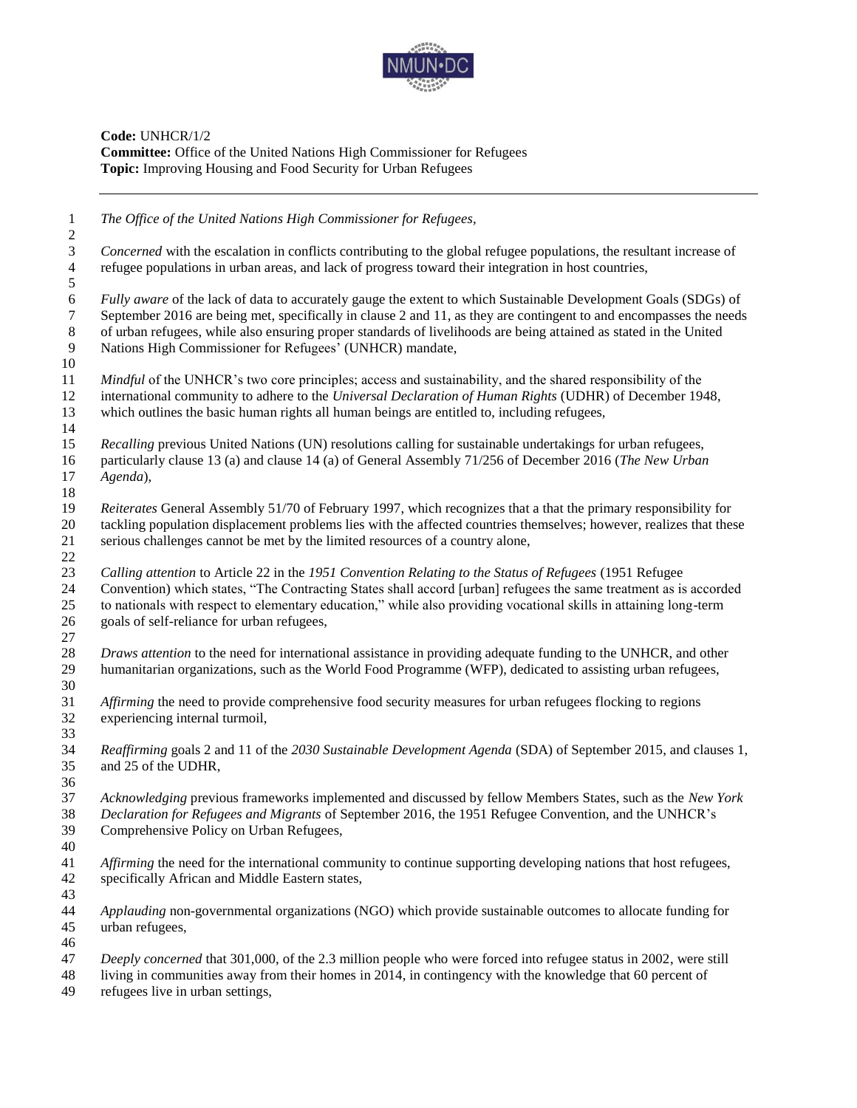

**Code:** UNHCR/1/2 **Committee:** Office of the United Nations High Commissioner for Refugees **Topic:** Improving Housing and Food Security for Urban Refugees

| $\mathbf{1}$<br>$\boldsymbol{2}$               | The Office of the United Nations High Commissioner for Refugees,                                                                                                                                                                                                                                                                                                                                                       |
|------------------------------------------------|------------------------------------------------------------------------------------------------------------------------------------------------------------------------------------------------------------------------------------------------------------------------------------------------------------------------------------------------------------------------------------------------------------------------|
| $\mathfrak{Z}$<br>$\overline{4}$<br>$\sqrt{5}$ | Concerned with the escalation in conflicts contributing to the global refugee populations, the resultant increase of<br>refugee populations in urban areas, and lack of progress toward their integration in host countries,                                                                                                                                                                                           |
| $\sqrt{6}$<br>$\tau$<br>$\,8\,$<br>9<br>10     | Fully aware of the lack of data to accurately gauge the extent to which Sustainable Development Goals (SDGs) of<br>September 2016 are being met, specifically in clause 2 and 11, as they are contingent to and encompasses the needs<br>of urban refugees, while also ensuring proper standards of livelihoods are being attained as stated in the United<br>Nations High Commissioner for Refugees' (UNHCR) mandate, |
| 11<br>12<br>13<br>14                           | Mindful of the UNHCR's two core principles; access and sustainability, and the shared responsibility of the<br>international community to adhere to the Universal Declaration of Human Rights (UDHR) of December 1948,<br>which outlines the basic human rights all human beings are entitled to, including refugees,                                                                                                  |
| 15<br>16<br>17<br>18                           | Recalling previous United Nations (UN) resolutions calling for sustainable undertakings for urban refugees,<br>particularly clause 13 (a) and clause 14 (a) of General Assembly 71/256 of December 2016 (The New Urban<br>Agenda),                                                                                                                                                                                     |
| 19<br>20<br>21<br>$22\,$                       | Reiterates General Assembly 51/70 of February 1997, which recognizes that a that the primary responsibility for<br>tackling population displacement problems lies with the affected countries themselves; however, realizes that these<br>serious challenges cannot be met by the limited resources of a country alone,                                                                                                |
| 23<br>24<br>$25\,$<br>26<br>27                 | Calling attention to Article 22 in the 1951 Convention Relating to the Status of Refugees (1951 Refugee<br>Convention) which states, "The Contracting States shall accord [urban] refugees the same treatment as is accorded<br>to nationals with respect to elementary education," while also providing vocational skills in attaining long-term<br>goals of self-reliance for urban refugees,                        |
| $28\,$<br>29                                   | Draws attention to the need for international assistance in providing adequate funding to the UNHCR, and other<br>humanitarian organizations, such as the World Food Programme (WFP), dedicated to assisting urban refugees,                                                                                                                                                                                           |
| 30<br>31<br>32                                 | Affirming the need to provide comprehensive food security measures for urban refugees flocking to regions<br>experiencing internal turmoil,                                                                                                                                                                                                                                                                            |
| 33<br>34<br>35                                 | Reaffirming goals 2 and 11 of the 2030 Sustainable Development Agenda (SDA) of September 2015, and clauses 1,<br>and 25 of the UDHR,                                                                                                                                                                                                                                                                                   |
| 36<br>37<br>38<br>39<br>40                     | Acknowledging previous frameworks implemented and discussed by fellow Members States, such as the New York<br>Declaration for Refugees and Migrants of September 2016, the 1951 Refugee Convention, and the UNHCR's<br>Comprehensive Policy on Urban Refugees,                                                                                                                                                         |
| 41<br>42<br>43                                 | Affirming the need for the international community to continue supporting developing nations that host refugees,<br>specifically African and Middle Eastern states,                                                                                                                                                                                                                                                    |
| 44<br>45<br>46                                 | Applauding non-governmental organizations (NGO) which provide sustainable outcomes to allocate funding for<br>urban refugees,                                                                                                                                                                                                                                                                                          |
| 47<br>48<br>49                                 | Deeply concerned that 301,000, of the 2.3 million people who were forced into refugee status in 2002, were still<br>living in communities away from their homes in 2014, in contingency with the knowledge that 60 percent of<br>refugees live in urban settings,                                                                                                                                                      |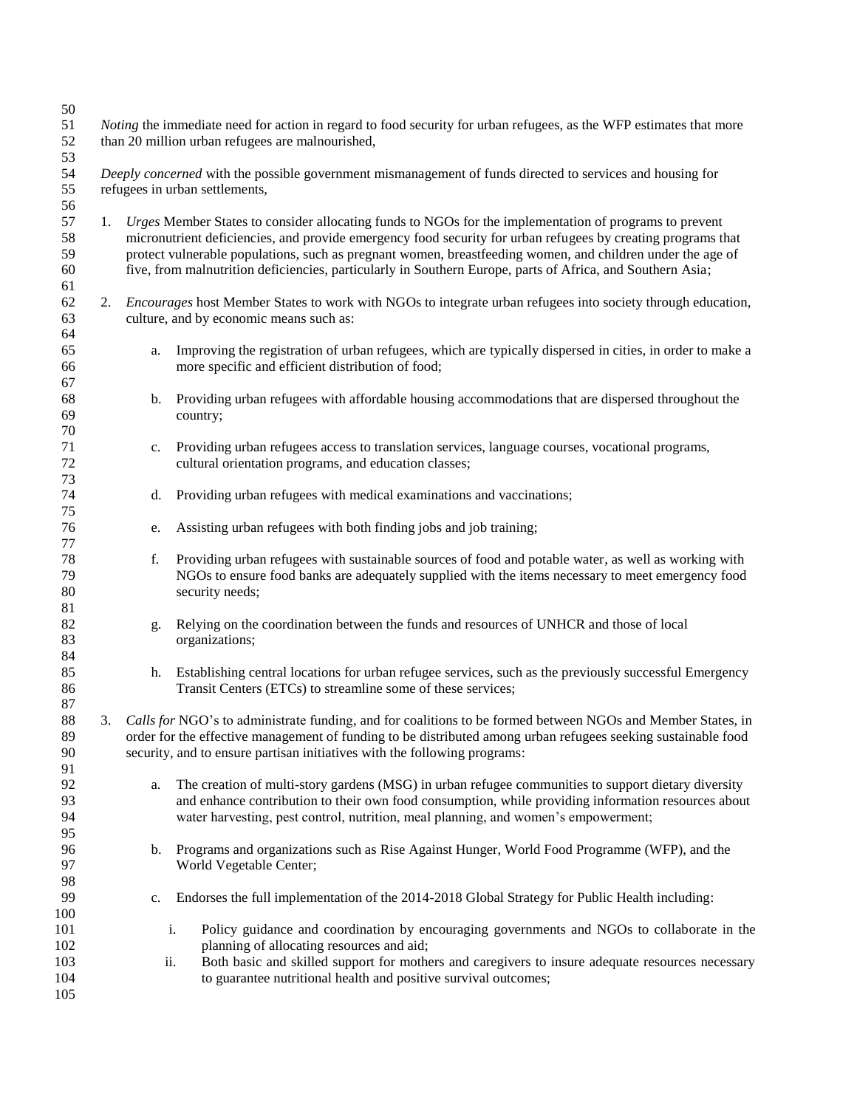| 50                               |    |                                                                                                                                                                               |                                                                                                                                                                                                                                                                                                                                                                                                                                                    |  |  |
|----------------------------------|----|-------------------------------------------------------------------------------------------------------------------------------------------------------------------------------|----------------------------------------------------------------------------------------------------------------------------------------------------------------------------------------------------------------------------------------------------------------------------------------------------------------------------------------------------------------------------------------------------------------------------------------------------|--|--|
| 51<br>52<br>53                   |    | <i>Noting</i> the immediate need for action in regard to food security for urban refugees, as the WFP estimates that more<br>than 20 million urban refugees are malnourished, |                                                                                                                                                                                                                                                                                                                                                                                                                                                    |  |  |
| 54<br>55                         |    | Deeply concerned with the possible government mismanagement of funds directed to services and housing for<br>refugees in urban settlements,                                   |                                                                                                                                                                                                                                                                                                                                                                                                                                                    |  |  |
| 56<br>57<br>58<br>59<br>60<br>61 | 1. |                                                                                                                                                                               | Urges Member States to consider allocating funds to NGOs for the implementation of programs to prevent<br>micronutrient deficiencies, and provide emergency food security for urban refugees by creating programs that<br>protect vulnerable populations, such as pregnant women, breastfeeding women, and children under the age of<br>five, from malnutrition deficiencies, particularly in Southern Europe, parts of Africa, and Southern Asia; |  |  |
| 62<br>63<br>64                   |    |                                                                                                                                                                               | 2. <i>Encourages</i> host Member States to work with NGOs to integrate urban refugees into society through education,<br>culture, and by economic means such as:                                                                                                                                                                                                                                                                                   |  |  |
| 65<br>66<br>67                   |    | a.                                                                                                                                                                            | Improving the registration of urban refugees, which are typically dispersed in cities, in order to make a<br>more specific and efficient distribution of food;                                                                                                                                                                                                                                                                                     |  |  |
| 68<br>69<br>70                   |    | b.                                                                                                                                                                            | Providing urban refugees with affordable housing accommodations that are dispersed throughout the<br>country;                                                                                                                                                                                                                                                                                                                                      |  |  |
| 71<br>72<br>73                   |    | c.                                                                                                                                                                            | Providing urban refugees access to translation services, language courses, vocational programs,<br>cultural orientation programs, and education classes;                                                                                                                                                                                                                                                                                           |  |  |
| 74<br>75                         |    | d.                                                                                                                                                                            | Providing urban refugees with medical examinations and vaccinations;                                                                                                                                                                                                                                                                                                                                                                               |  |  |
| 76<br>77                         |    | e.                                                                                                                                                                            | Assisting urban refugees with both finding jobs and job training;                                                                                                                                                                                                                                                                                                                                                                                  |  |  |
| 78<br>79<br>80                   |    | f.                                                                                                                                                                            | Providing urban refugees with sustainable sources of food and potable water, as well as working with<br>NGOs to ensure food banks are adequately supplied with the items necessary to meet emergency food<br>security needs;                                                                                                                                                                                                                       |  |  |
| 81<br>82<br>83<br>84             |    | g.                                                                                                                                                                            | Relying on the coordination between the funds and resources of UNHCR and those of local<br>organizations;                                                                                                                                                                                                                                                                                                                                          |  |  |
| 85<br>86<br>87                   |    | h.                                                                                                                                                                            | Establishing central locations for urban refugee services, such as the previously successful Emergency<br>Transit Centers (ETCs) to streamline some of these services;                                                                                                                                                                                                                                                                             |  |  |
| 88<br>89<br>90<br>91             | 3. |                                                                                                                                                                               | Calls for NGO's to administrate funding, and for coalitions to be formed between NGOs and Member States, in<br>order for the effective management of funding to be distributed among urban refugees seeking sustainable food<br>security, and to ensure partisan initiatives with the following programs:                                                                                                                                          |  |  |
| 92<br>93<br>94<br>95             |    | a.                                                                                                                                                                            | The creation of multi-story gardens (MSG) in urban refugee communities to support dietary diversity<br>and enhance contribution to their own food consumption, while providing information resources about<br>water harvesting, pest control, nutrition, meal planning, and women's empowerment;                                                                                                                                                   |  |  |
| 96<br>97<br>98                   |    | b.                                                                                                                                                                            | Programs and organizations such as Rise Against Hunger, World Food Programme (WFP), and the<br>World Vegetable Center;                                                                                                                                                                                                                                                                                                                             |  |  |
| 99<br>100                        |    | c.                                                                                                                                                                            | Endorses the full implementation of the 2014-2018 Global Strategy for Public Health including:                                                                                                                                                                                                                                                                                                                                                     |  |  |
| 101<br>102<br>103<br>104<br>105  |    |                                                                                                                                                                               | Policy guidance and coordination by encouraging governments and NGOs to collaborate in the<br>i.<br>planning of allocating resources and aid;<br>Both basic and skilled support for mothers and caregivers to insure adequate resources necessary<br>ii.<br>to guarantee nutritional health and positive survival outcomes;                                                                                                                        |  |  |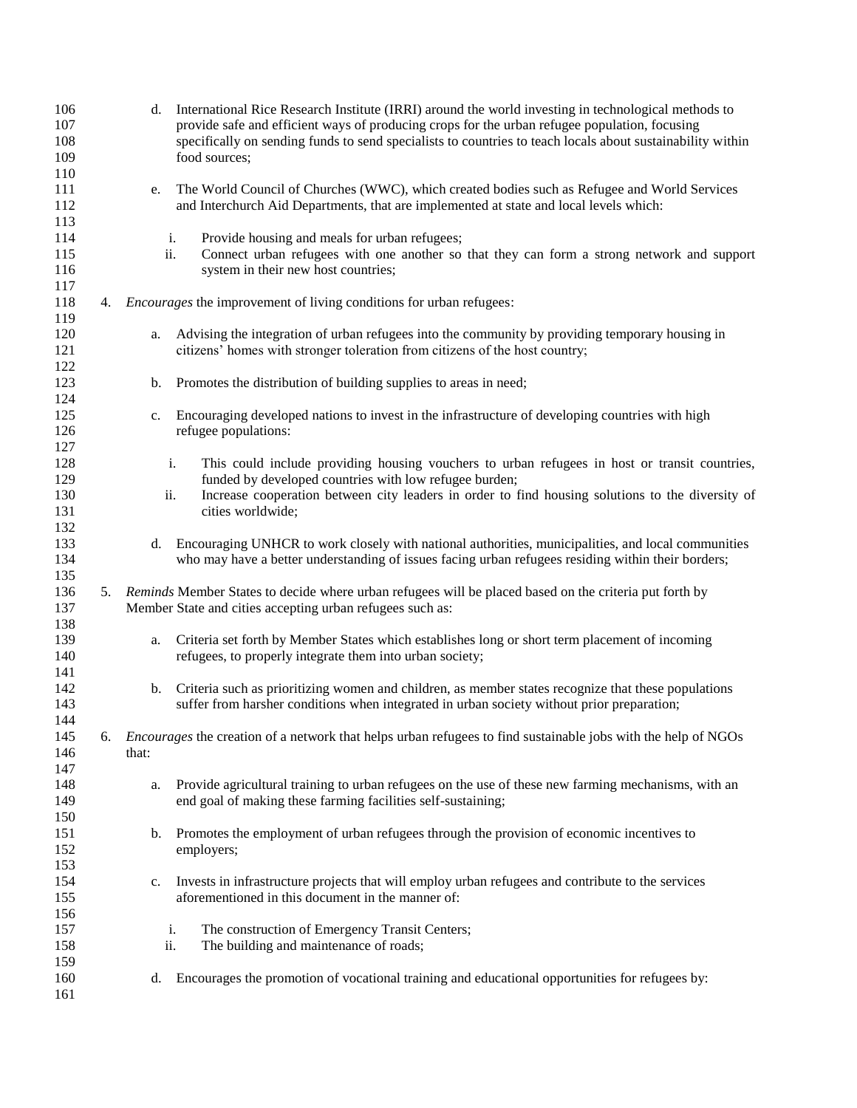| 106<br>107<br>108<br>109<br>110 |    | d.        | International Rice Research Institute (IRRI) around the world investing in technological methods to<br>provide safe and efficient ways of producing crops for the urban refugee population, focusing<br>specifically on sending funds to send specialists to countries to teach locals about sustainability within<br>food sources; |
|---------------------------------|----|-----------|-------------------------------------------------------------------------------------------------------------------------------------------------------------------------------------------------------------------------------------------------------------------------------------------------------------------------------------|
| 111<br>112<br>113               |    | e.        | The World Council of Churches (WWC), which created bodies such as Refugee and World Services<br>and Interchurch Aid Departments, that are implemented at state and local levels which:                                                                                                                                              |
| 114<br>115<br>116<br>117        |    | i.<br>ii. | Provide housing and meals for urban refugees;<br>Connect urban refugees with one another so that they can form a strong network and support<br>system in their new host countries;                                                                                                                                                  |
| 118<br>119                      | 4. |           | <i>Encourages</i> the improvement of living conditions for urban refugees:                                                                                                                                                                                                                                                          |
| 120<br>121<br>122               |    | a.        | Advising the integration of urban refugees into the community by providing temporary housing in<br>citizens' homes with stronger toleration from citizens of the host country;                                                                                                                                                      |
| 123<br>124                      |    | b.        | Promotes the distribution of building supplies to areas in need;                                                                                                                                                                                                                                                                    |
| 125<br>126<br>127               |    | c.        | Encouraging developed nations to invest in the infrastructure of developing countries with high<br>refugee populations:                                                                                                                                                                                                             |
| 128<br>129<br>130<br>131        |    | i.<br>ii. | This could include providing housing vouchers to urban refugees in host or transit countries,<br>funded by developed countries with low refugee burden;<br>Increase cooperation between city leaders in order to find housing solutions to the diversity of<br>cities worldwide;                                                    |
| 132<br>133<br>134               |    | d.        | Encouraging UNHCR to work closely with national authorities, municipalities, and local communities<br>who may have a better understanding of issues facing urban refugees residing within their borders;                                                                                                                            |
| 135<br>136<br>137<br>138        | 5. |           | Reminds Member States to decide where urban refugees will be placed based on the criteria put forth by<br>Member State and cities accepting urban refugees such as:                                                                                                                                                                 |
| 139<br>140<br>141               |    | a.        | Criteria set forth by Member States which establishes long or short term placement of incoming<br>refugees, to properly integrate them into urban society;                                                                                                                                                                          |
| 142<br>143<br>144               |    | b.        | Criteria such as prioritizing women and children, as member states recognize that these populations<br>suffer from harsher conditions when integrated in urban society without prior preparation;                                                                                                                                   |
| 145<br>146<br>147               | 6. | that:     | <i>Encourages</i> the creation of a network that helps urban refugees to find sustainable jobs with the help of NGOs                                                                                                                                                                                                                |
| 148<br>149<br>150               |    | a.        | Provide agricultural training to urban refugees on the use of these new farming mechanisms, with an<br>end goal of making these farming facilities self-sustaining;                                                                                                                                                                 |
| 151<br>152<br>153               |    | b.        | Promotes the employment of urban refugees through the provision of economic incentives to<br>employers;                                                                                                                                                                                                                             |
| 154<br>155<br>156               |    | c.        | Invests in infrastructure projects that will employ urban refugees and contribute to the services<br>aforementioned in this document in the manner of:                                                                                                                                                                              |
| 157<br>158<br>159               |    | i.<br>ii. | The construction of Emergency Transit Centers;<br>The building and maintenance of roads;                                                                                                                                                                                                                                            |
| 160<br>161                      |    | d.        | Encourages the promotion of vocational training and educational opportunities for refugees by:                                                                                                                                                                                                                                      |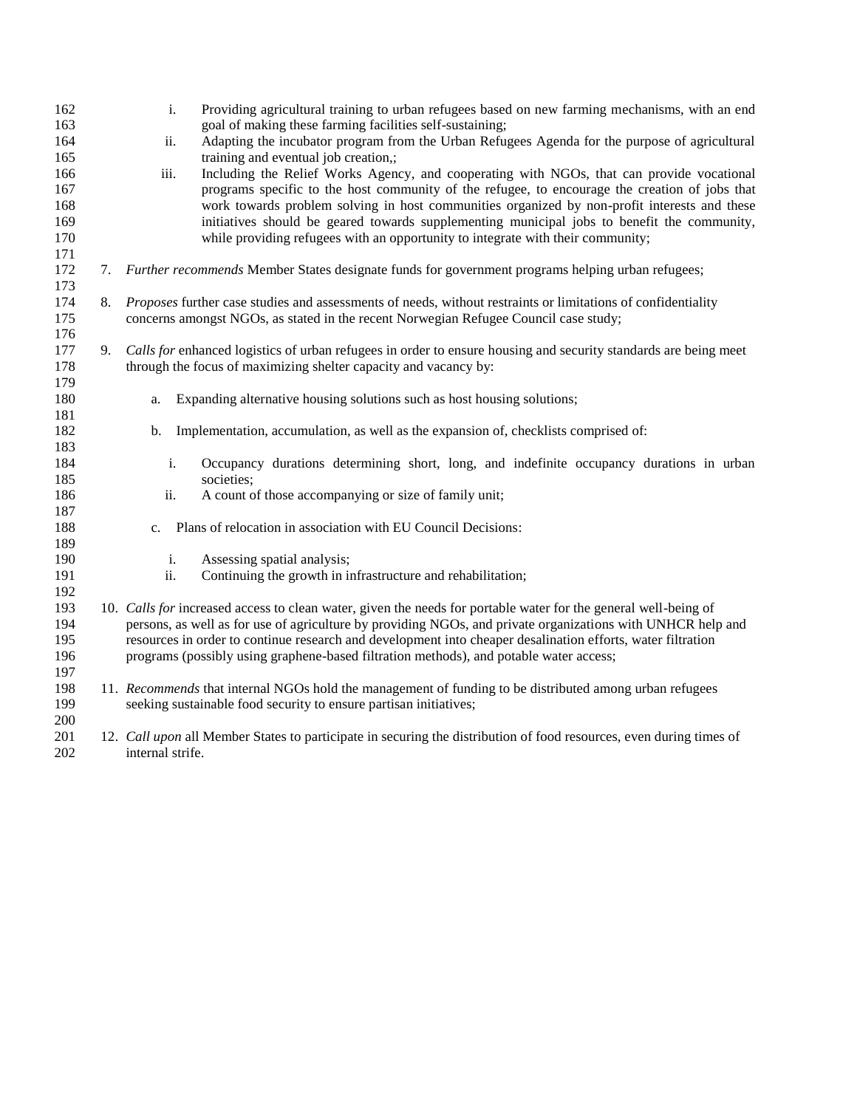| 162 |    | i.               | Providing agricultural training to urban refugees based on new farming mechanisms, with an end                      |
|-----|----|------------------|---------------------------------------------------------------------------------------------------------------------|
| 163 |    |                  | goal of making these farming facilities self-sustaining;                                                            |
| 164 |    | ii.              | Adapting the incubator program from the Urban Refugees Agenda for the purpose of agricultural                       |
| 165 |    |                  | training and eventual job creation,;                                                                                |
| 166 |    | iii.             | Including the Relief Works Agency, and cooperating with NGOs, that can provide vocational                           |
| 167 |    |                  | programs specific to the host community of the refugee, to encourage the creation of jobs that                      |
| 168 |    |                  | work towards problem solving in host communities organized by non-profit interests and these                        |
| 169 |    |                  | initiatives should be geared towards supplementing municipal jobs to benefit the community,                         |
| 170 |    |                  | while providing refugees with an opportunity to integrate with their community;                                     |
| 171 |    |                  |                                                                                                                     |
| 172 |    |                  | 7. Further recommends Member States designate funds for government programs helping urban refugees;                 |
| 173 |    |                  |                                                                                                                     |
| 174 | 8. |                  | Proposes further case studies and assessments of needs, without restraints or limitations of confidentiality        |
| 175 |    |                  | concerns amongst NGOs, as stated in the recent Norwegian Refugee Council case study;                                |
| 176 |    |                  |                                                                                                                     |
| 177 | 9. |                  | Calls for enhanced logistics of urban refugees in order to ensure housing and security standards are being meet     |
| 178 |    |                  | through the focus of maximizing shelter capacity and vacancy by:                                                    |
| 179 |    |                  |                                                                                                                     |
| 180 |    | a.               | Expanding alternative housing solutions such as host housing solutions;                                             |
| 181 |    |                  |                                                                                                                     |
| 182 |    | b.               | Implementation, accumulation, as well as the expansion of, checklists comprised of:                                 |
| 183 |    |                  |                                                                                                                     |
| 184 |    | i.               | Occupancy durations determining short, long, and indefinite occupancy durations in urban                            |
| 185 |    |                  | societies;                                                                                                          |
| 186 |    | ii.              | A count of those accompanying or size of family unit;                                                               |
| 187 |    |                  |                                                                                                                     |
| 188 |    |                  | c. Plans of relocation in association with EU Council Decisions:                                                    |
| 189 |    |                  |                                                                                                                     |
| 190 |    | i.               | Assessing spatial analysis;                                                                                         |
| 191 |    | ii.              | Continuing the growth in infrastructure and rehabilitation;                                                         |
| 192 |    |                  |                                                                                                                     |
| 193 |    |                  | 10. Calls for increased access to clean water, given the needs for portable water for the general well-being of     |
| 194 |    |                  | persons, as well as for use of agriculture by providing NGOs, and private organizations with UNHCR help and         |
| 195 |    |                  | resources in order to continue research and development into cheaper desalination efforts, water filtration         |
| 196 |    |                  | programs (possibly using graphene-based filtration methods), and potable water access;                              |
| 197 |    |                  |                                                                                                                     |
| 198 |    |                  | 11. Recommends that internal NGOs hold the management of funding to be distributed among urban refugees             |
| 199 |    |                  | seeking sustainable food security to ensure partisan initiatives;                                                   |
| 200 |    |                  |                                                                                                                     |
| 201 |    |                  | 12. Call upon all Member States to participate in securing the distribution of food resources, even during times of |
| 202 |    | internal strife. |                                                                                                                     |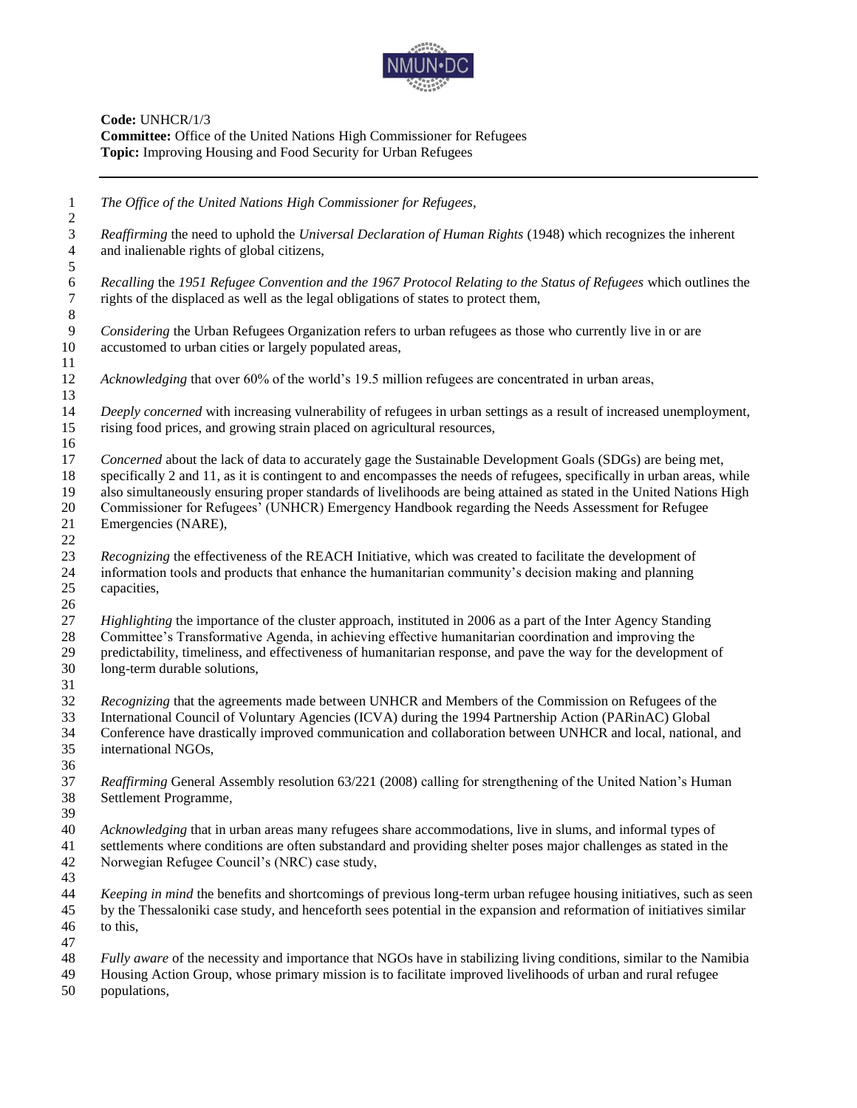

**Code:** UNHCR/1/3 **Committee:** Office of the United Nations High Commissioner for Refugees **Topic:** Improving Housing and Food Security for Urban Refugees

| $\mathbf{1}$<br>$\sqrt{2}$                        | The Office of the United Nations High Commissioner for Refugees,                                                                                                                                                                                                                                                                                                                                                                                                                          |
|---------------------------------------------------|-------------------------------------------------------------------------------------------------------------------------------------------------------------------------------------------------------------------------------------------------------------------------------------------------------------------------------------------------------------------------------------------------------------------------------------------------------------------------------------------|
| 3<br>$\overline{4}$                               | Reaffirming the need to uphold the Universal Declaration of Human Rights (1948) which recognizes the inherent<br>and inalienable rights of global citizens,                                                                                                                                                                                                                                                                                                                               |
| $\mathfrak{S}$<br>$\sqrt{6}$<br>$\tau$<br>$\,8\,$ | Recalling the 1951 Refugee Convention and the 1967 Protocol Relating to the Status of Refugees which outlines the<br>rights of the displaced as well as the legal obligations of states to protect them,                                                                                                                                                                                                                                                                                  |
| $\overline{9}$<br>10<br>11                        | Considering the Urban Refugees Organization refers to urban refugees as those who currently live in or are<br>accustomed to urban cities or largely populated areas,                                                                                                                                                                                                                                                                                                                      |
| 12<br>13                                          | Acknowledging that over 60% of the world's 19.5 million refugees are concentrated in urban areas,                                                                                                                                                                                                                                                                                                                                                                                         |
| 14<br>15<br>16                                    | Deeply concerned with increasing vulnerability of refugees in urban settings as a result of increased unemployment,<br>rising food prices, and growing strain placed on agricultural resources,                                                                                                                                                                                                                                                                                           |
| 17<br>18<br>19<br>20<br>21<br>22                  | Concerned about the lack of data to accurately gage the Sustainable Development Goals (SDGs) are being met,<br>specifically 2 and 11, as it is contingent to and encompasses the needs of refugees, specifically in urban areas, while<br>also simultaneously ensuring proper standards of livelihoods are being attained as stated in the United Nations High<br>Commissioner for Refugees' (UNHCR) Emergency Handbook regarding the Needs Assessment for Refugee<br>Emergencies (NARE), |
| 23<br>24<br>25<br>26                              | Recognizing the effectiveness of the REACH Initiative, which was created to facilitate the development of<br>information tools and products that enhance the humanitarian community's decision making and planning<br>capacities,                                                                                                                                                                                                                                                         |
| 27<br>28<br>29<br>30<br>31                        | Highlighting the importance of the cluster approach, instituted in 2006 as a part of the Inter Agency Standing<br>Committee's Transformative Agenda, in achieving effective humanitarian coordination and improving the<br>predictability, timeliness, and effectiveness of humanitarian response, and pave the way for the development of<br>long-term durable solutions,                                                                                                                |
| 32<br>33<br>34<br>35<br>36                        | Recognizing that the agreements made between UNHCR and Members of the Commission on Refugees of the<br>International Council of Voluntary Agencies (ICVA) during the 1994 Partnership Action (PARinAC) Global<br>Conference have drastically improved communication and collaboration between UNHCR and local, national, and<br>international NGOs,                                                                                                                                       |
| 37<br>38<br>39                                    | Reaffirming General Assembly resolution 63/221 (2008) calling for strengthening of the United Nation's Human<br>Settlement Programme,                                                                                                                                                                                                                                                                                                                                                     |
| 40<br>41<br>42<br>43                              | Acknowledging that in urban areas many refugees share accommodations, live in slums, and informal types of<br>settlements where conditions are often substandard and providing shelter poses major challenges as stated in the<br>Norwegian Refugee Council's (NRC) case study,                                                                                                                                                                                                           |
| 44<br>45<br>46                                    | Keeping in mind the benefits and shortcomings of previous long-term urban refugee housing initiatives, such as seen<br>by the Thessaloniki case study, and henceforth sees potential in the expansion and reformation of initiatives similar<br>to this,                                                                                                                                                                                                                                  |
| 47<br>48<br>49<br>50                              | Fully aware of the necessity and importance that NGOs have in stabilizing living conditions, similar to the Namibia<br>Housing Action Group, whose primary mission is to facilitate improved livelihoods of urban and rural refugee<br>populations,                                                                                                                                                                                                                                       |
|                                                   |                                                                                                                                                                                                                                                                                                                                                                                                                                                                                           |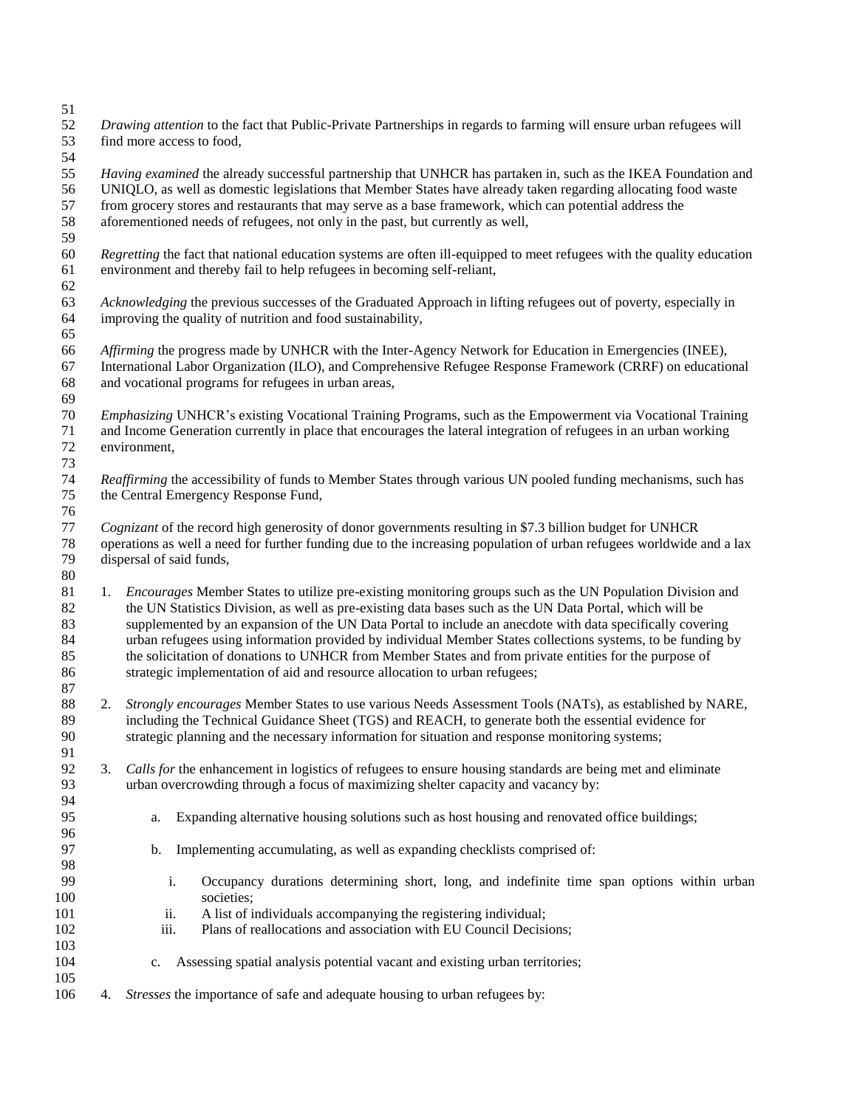| 52<br>53<br>54                         | Drawing attention to the fact that Public-Private Partnerships in regards to farming will ensure urban refugees will<br>find more access to food,                                                                                                                                                                                                                                                                                                                                                                                                                                                                                                   |
|----------------------------------------|-----------------------------------------------------------------------------------------------------------------------------------------------------------------------------------------------------------------------------------------------------------------------------------------------------------------------------------------------------------------------------------------------------------------------------------------------------------------------------------------------------------------------------------------------------------------------------------------------------------------------------------------------------|
| 55<br>56<br>57<br>58<br>59             | Having examined the already successful partnership that UNHCR has partaken in, such as the IKEA Foundation and<br>UNIQLO, as well as domestic legislations that Member States have already taken regarding allocating food waste<br>from grocery stores and restaurants that may serve as a base framework, which can potential address the<br>aforementioned needs of refugees, not only in the past, but currently as well,                                                                                                                                                                                                                       |
| 60<br>61                               | Regretting the fact that national education systems are often ill-equipped to meet refugees with the quality education<br>environment and thereby fail to help refugees in becoming self-reliant,                                                                                                                                                                                                                                                                                                                                                                                                                                                   |
| 62<br>63<br>64<br>65                   | Acknowledging the previous successes of the Graduated Approach in lifting refugees out of poverty, especially in<br>improving the quality of nutrition and food sustainability,                                                                                                                                                                                                                                                                                                                                                                                                                                                                     |
| 66<br>67<br>68<br>69                   | Affirming the progress made by UNHCR with the Inter-Agency Network for Education in Emergencies (INEE),<br>International Labor Organization (ILO), and Comprehensive Refugee Response Framework (CRRF) on educational<br>and vocational programs for refugees in urban areas,                                                                                                                                                                                                                                                                                                                                                                       |
| $70\,$<br>71<br>72<br>73               | Emphasizing UNHCR's existing Vocational Training Programs, such as the Empowerment via Vocational Training<br>and Income Generation currently in place that encourages the lateral integration of refugees in an urban working<br>environment,                                                                                                                                                                                                                                                                                                                                                                                                      |
| 74<br>$75\,$                           | Reaffirming the accessibility of funds to Member States through various UN pooled funding mechanisms, such has<br>the Central Emergency Response Fund,                                                                                                                                                                                                                                                                                                                                                                                                                                                                                              |
| 76<br>77<br>$78\,$<br>79<br>80         | Cognizant of the record high generosity of donor governments resulting in \$7.3 billion budget for UNHCR<br>operations as well a need for further funding due to the increasing population of urban refugees worldwide and a lax<br>dispersal of said funds,                                                                                                                                                                                                                                                                                                                                                                                        |
| 81<br>82<br>83<br>84<br>85<br>86<br>87 | 1. <i>Encourages</i> Member States to utilize pre-existing monitoring groups such as the UN Population Division and<br>the UN Statistics Division, as well as pre-existing data bases such as the UN Data Portal, which will be<br>supplemented by an expansion of the UN Data Portal to include an anecdote with data specifically covering<br>urban refugees using information provided by individual Member States collections systems, to be funding by<br>the solicitation of donations to UNHCR from Member States and from private entities for the purpose of<br>strategic implementation of aid and resource allocation to urban refugees; |
| 88<br>89<br>90                         | Strongly encourages Member States to use various Needs Assessment Tools (NATs), as established by NARE,<br>2.<br>including the Technical Guidance Sheet (TGS) and REACH, to generate both the essential evidence for<br>strategic planning and the necessary information for situation and response monitoring systems;                                                                                                                                                                                                                                                                                                                             |
| 91<br>92<br>93<br>94                   | Calls for the enhancement in logistics of refugees to ensure housing standards are being met and eliminate<br>3.<br>urban overcrowding through a focus of maximizing shelter capacity and vacancy by:                                                                                                                                                                                                                                                                                                                                                                                                                                               |
| 95<br>96                               | Expanding alternative housing solutions such as host housing and renovated office buildings;<br>a.                                                                                                                                                                                                                                                                                                                                                                                                                                                                                                                                                  |
| 97<br>98                               | Implementing accumulating, as well as expanding checklists comprised of:<br>b.                                                                                                                                                                                                                                                                                                                                                                                                                                                                                                                                                                      |
| 99<br>100<br>101<br>102                | i.<br>Occupancy durations determining short, long, and indefinite time span options within urban<br>societies;<br>A list of individuals accompanying the registering individual;<br>ii.<br>iii.<br>Plans of reallocations and association with EU Council Decisions;                                                                                                                                                                                                                                                                                                                                                                                |
| 103<br>104<br>105                      | Assessing spatial analysis potential vacant and existing urban territories;<br>c.                                                                                                                                                                                                                                                                                                                                                                                                                                                                                                                                                                   |
| 106                                    | Stresses the importance of safe and adequate housing to urban refugees by:<br>4.                                                                                                                                                                                                                                                                                                                                                                                                                                                                                                                                                                    |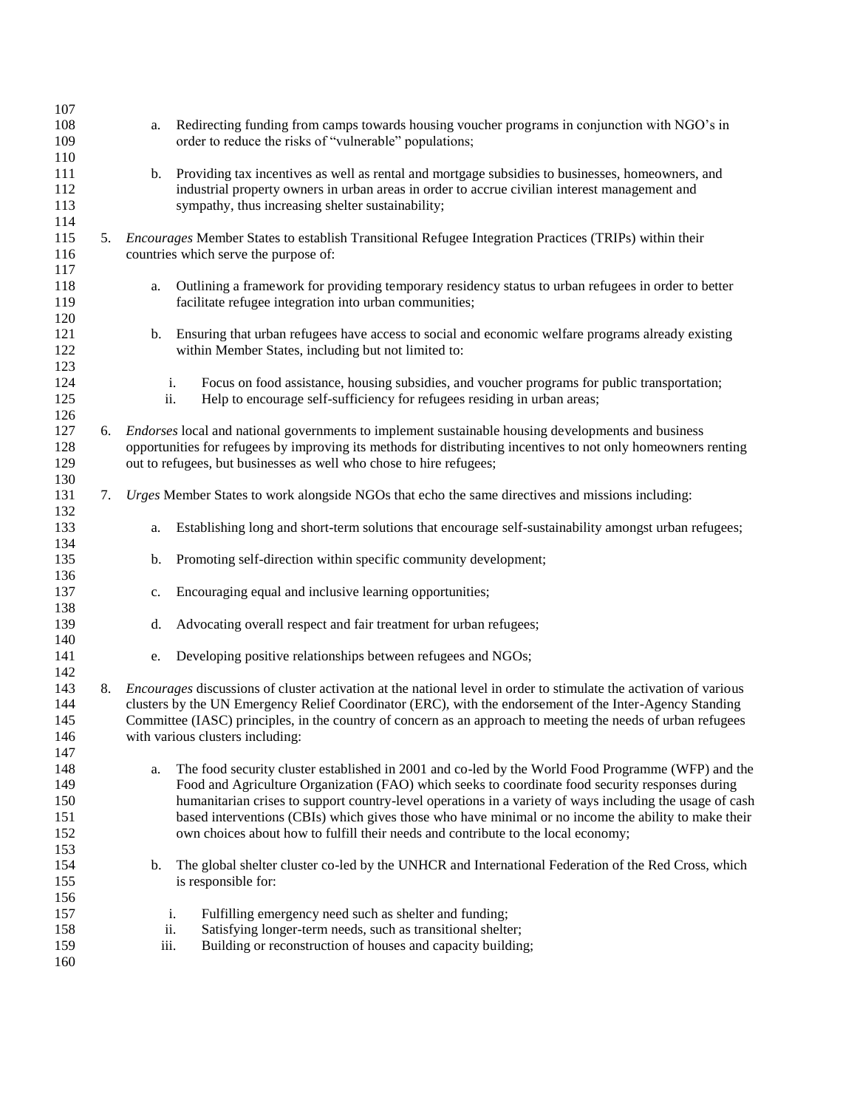| 107 |    |      |                                                                                                                           |
|-----|----|------|---------------------------------------------------------------------------------------------------------------------------|
| 108 |    | a.   | Redirecting funding from camps towards housing voucher programs in conjunction with NGO's in                              |
| 109 |    |      | order to reduce the risks of "vulnerable" populations;                                                                    |
| 110 |    |      |                                                                                                                           |
| 111 |    | b.   | Providing tax incentives as well as rental and mortgage subsidies to businesses, homeowners, and                          |
| 112 |    |      | industrial property owners in urban areas in order to accrue civilian interest management and                             |
| 113 |    |      | sympathy, thus increasing shelter sustainability;                                                                         |
| 114 |    |      |                                                                                                                           |
| 115 |    |      | 5. Encourages Member States to establish Transitional Refugee Integration Practices (TRIPs) within their                  |
| 116 |    |      | countries which serve the purpose of:                                                                                     |
| 117 |    |      |                                                                                                                           |
| 118 |    | a.   | Outlining a framework for providing temporary residency status to urban refugees in order to better                       |
| 119 |    |      | facilitate refugee integration into urban communities;                                                                    |
| 120 |    |      |                                                                                                                           |
| 121 |    | b.   | Ensuring that urban refugees have access to social and economic welfare programs already existing                         |
| 122 |    |      | within Member States, including but not limited to:                                                                       |
| 123 |    |      |                                                                                                                           |
| 124 |    |      | Focus on food assistance, housing subsidies, and voucher programs for public transportation;<br>i.                        |
| 125 |    |      | ii.<br>Help to encourage self-sufficiency for refugees residing in urban areas;                                           |
| 126 |    |      |                                                                                                                           |
| 127 |    |      | 6. <i>Endorses</i> local and national governments to implement sustainable housing developments and business              |
| 128 |    |      | opportunities for refugees by improving its methods for distributing incentives to not only homeowners renting            |
| 129 |    |      | out to refugees, but businesses as well who chose to hire refugees;                                                       |
| 130 |    |      |                                                                                                                           |
| 131 |    |      | 7. Urges Member States to work alongside NGOs that echo the same directives and missions including:                       |
| 132 |    |      |                                                                                                                           |
| 133 |    | a.   | Establishing long and short-term solutions that encourage self-sustainability amongst urban refugees;                     |
| 134 |    |      |                                                                                                                           |
| 135 |    | b.   | Promoting self-direction within specific community development;                                                           |
| 136 |    |      |                                                                                                                           |
| 137 |    | c.   | Encouraging equal and inclusive learning opportunities;                                                                   |
| 138 |    |      |                                                                                                                           |
| 139 |    | d.   | Advocating overall respect and fair treatment for urban refugees;                                                         |
| 140 |    |      |                                                                                                                           |
| 141 |    | e.   | Developing positive relationships between refugees and NGOs;                                                              |
| 142 |    |      |                                                                                                                           |
| 143 | 8. |      | <i>Encourages</i> discussions of cluster activation at the national level in order to stimulate the activation of various |
| 144 |    |      | clusters by the UN Emergency Relief Coordinator (ERC), with the endorsement of the Inter-Agency Standing                  |
| 145 |    |      | Committee (IASC) principles, in the country of concern as an approach to meeting the needs of urban refugees              |
| 146 |    |      | with various clusters including:                                                                                          |
| 147 |    |      |                                                                                                                           |
| 148 |    | a.   | The food security cluster established in 2001 and co-led by the World Food Programme (WFP) and the                        |
| 149 |    |      | Food and Agriculture Organization (FAO) which seeks to coordinate food security responses during                          |
| 150 |    |      | humanitarian crises to support country-level operations in a variety of ways including the usage of cash                  |
| 151 |    |      | based interventions (CBIs) which gives those who have minimal or no income the ability to make their                      |
| 152 |    |      | own choices about how to fulfill their needs and contribute to the local economy;                                         |
| 153 |    |      |                                                                                                                           |
| 154 |    | b.   | The global shelter cluster co-led by the UNHCR and International Federation of the Red Cross, which                       |
| 155 |    |      | is responsible for:                                                                                                       |
| 156 |    |      |                                                                                                                           |
| 157 |    |      | Fulfilling emergency need such as shelter and funding;<br>i.                                                              |
| 158 |    | ii.  | Satisfying longer-term needs, such as transitional shelter;                                                               |
| 159 |    | iii. | Building or reconstruction of houses and capacity building;                                                               |
| 160 |    |      |                                                                                                                           |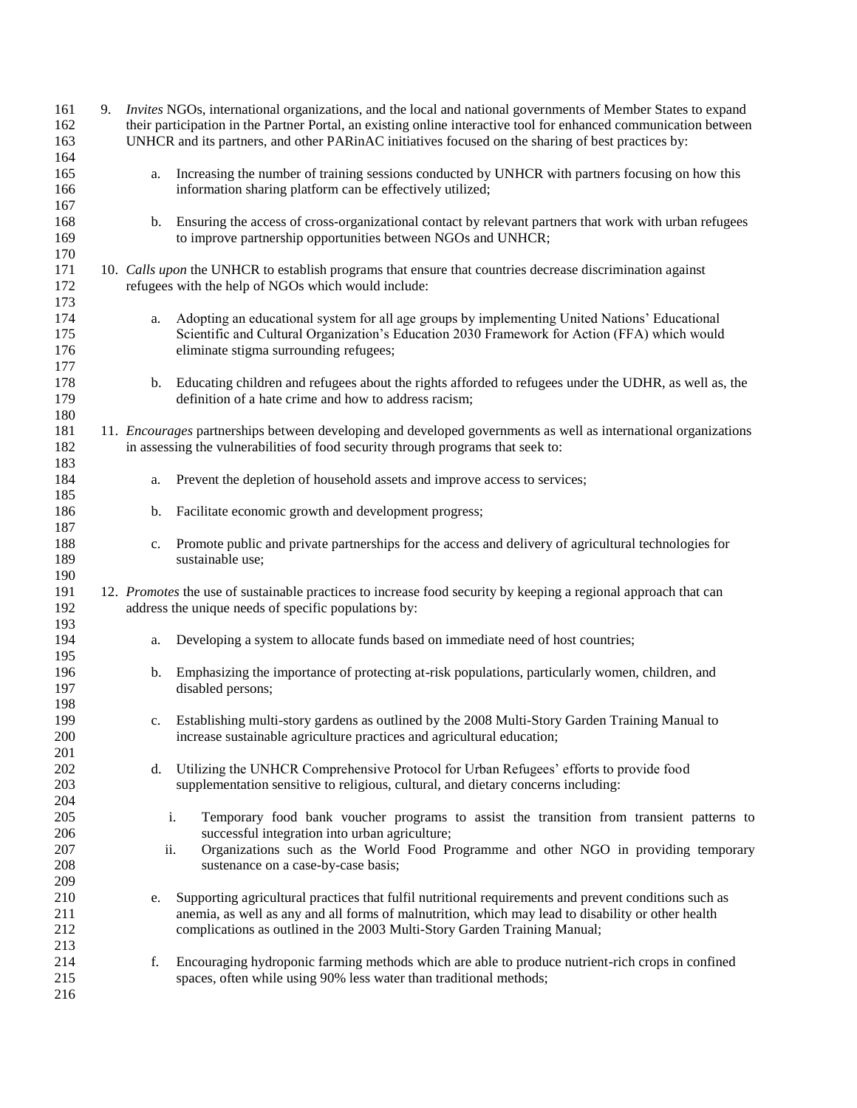| 161 | 9. |             | <i>Invites</i> NGOs, international organizations, and the local and national governments of Member States to expand    |
|-----|----|-------------|------------------------------------------------------------------------------------------------------------------------|
| 162 |    |             | their participation in the Partner Portal, an existing online interactive tool for enhanced communication between      |
| 163 |    |             | UNHCR and its partners, and other PARinAC initiatives focused on the sharing of best practices by:                     |
| 164 |    |             |                                                                                                                        |
|     |    |             |                                                                                                                        |
| 165 |    | a.          | Increasing the number of training sessions conducted by UNHCR with partners focusing on how this                       |
| 166 |    |             | information sharing platform can be effectively utilized;                                                              |
| 167 |    |             |                                                                                                                        |
| 168 |    | b.          | Ensuring the access of cross-organizational contact by relevant partners that work with urban refugees                 |
| 169 |    |             | to improve partnership opportunities between NGOs and UNHCR;                                                           |
| 170 |    |             |                                                                                                                        |
| 171 |    |             | 10. Calls upon the UNHCR to establish programs that ensure that countries decrease discrimination against              |
| 172 |    |             | refugees with the help of NGOs which would include:                                                                    |
|     |    |             |                                                                                                                        |
| 173 |    |             |                                                                                                                        |
| 174 |    | a.          | Adopting an educational system for all age groups by implementing United Nations' Educational                          |
| 175 |    |             | Scientific and Cultural Organization's Education 2030 Framework for Action (FFA) which would                           |
| 176 |    |             | eliminate stigma surrounding refugees;                                                                                 |
| 177 |    |             |                                                                                                                        |
| 178 |    | b.          | Educating children and refugees about the rights afforded to refugees under the UDHR, as well as, the                  |
| 179 |    |             | definition of a hate crime and how to address racism;                                                                  |
| 180 |    |             |                                                                                                                        |
|     |    |             |                                                                                                                        |
| 181 |    |             | 11. <i>Encourages</i> partnerships between developing and developed governments as well as international organizations |
| 182 |    |             | in assessing the vulnerabilities of food security through programs that seek to:                                       |
| 183 |    |             |                                                                                                                        |
| 184 |    | a.          | Prevent the depletion of household assets and improve access to services;                                              |
| 185 |    |             |                                                                                                                        |
| 186 |    | b.          | Facilitate economic growth and development progress;                                                                   |
| 187 |    |             |                                                                                                                        |
| 188 |    |             |                                                                                                                        |
|     |    | c.          | Promote public and private partnerships for the access and delivery of agricultural technologies for                   |
| 189 |    |             | sustainable use;                                                                                                       |
| 190 |    |             |                                                                                                                        |
| 191 |    |             | 12. Promotes the use of sustainable practices to increase food security by keeping a regional approach that can        |
| 192 |    |             | address the unique needs of specific populations by:                                                                   |
| 193 |    |             |                                                                                                                        |
| 194 |    | a.          | Developing a system to allocate funds based on immediate need of host countries;                                       |
| 195 |    |             |                                                                                                                        |
| 196 |    |             | Emphasizing the importance of protecting at-risk populations, particularly women, children, and                        |
|     |    | b.          |                                                                                                                        |
| 197 |    |             | disabled persons;                                                                                                      |
| 198 |    |             |                                                                                                                        |
| 199 |    | $c_{\cdot}$ | Establishing multi-story gardens as outlined by the 2008 Multi-Story Garden Training Manual to                         |
| 200 |    |             | increase sustainable agriculture practices and agricultural education;                                                 |
| 201 |    |             |                                                                                                                        |
| 202 |    | d.          | Utilizing the UNHCR Comprehensive Protocol for Urban Refugees' efforts to provide food                                 |
| 203 |    |             | supplementation sensitive to religious, cultural, and dietary concerns including:                                      |
|     |    |             |                                                                                                                        |
| 204 |    |             |                                                                                                                        |
| 205 |    |             | Temporary food bank voucher programs to assist the transition from transient patterns to<br>i.                         |
| 206 |    |             | successful integration into urban agriculture;                                                                         |
| 207 |    | ii.         | Organizations such as the World Food Programme and other NGO in providing temporary                                    |
| 208 |    |             | sustenance on a case-by-case basis;                                                                                    |
| 209 |    |             |                                                                                                                        |
| 210 |    | e.          | Supporting agricultural practices that fulfil nutritional requirements and prevent conditions such as                  |
| 211 |    |             | anemia, as well as any and all forms of malnutrition, which may lead to disability or other health                     |
|     |    |             |                                                                                                                        |
| 212 |    |             | complications as outlined in the 2003 Multi-Story Garden Training Manual;                                              |
| 213 |    |             |                                                                                                                        |
| 214 |    | f.          | Encouraging hydroponic farming methods which are able to produce nutrient-rich crops in confined                       |
| 215 |    |             | spaces, often while using 90% less water than traditional methods;                                                     |
| 216 |    |             |                                                                                                                        |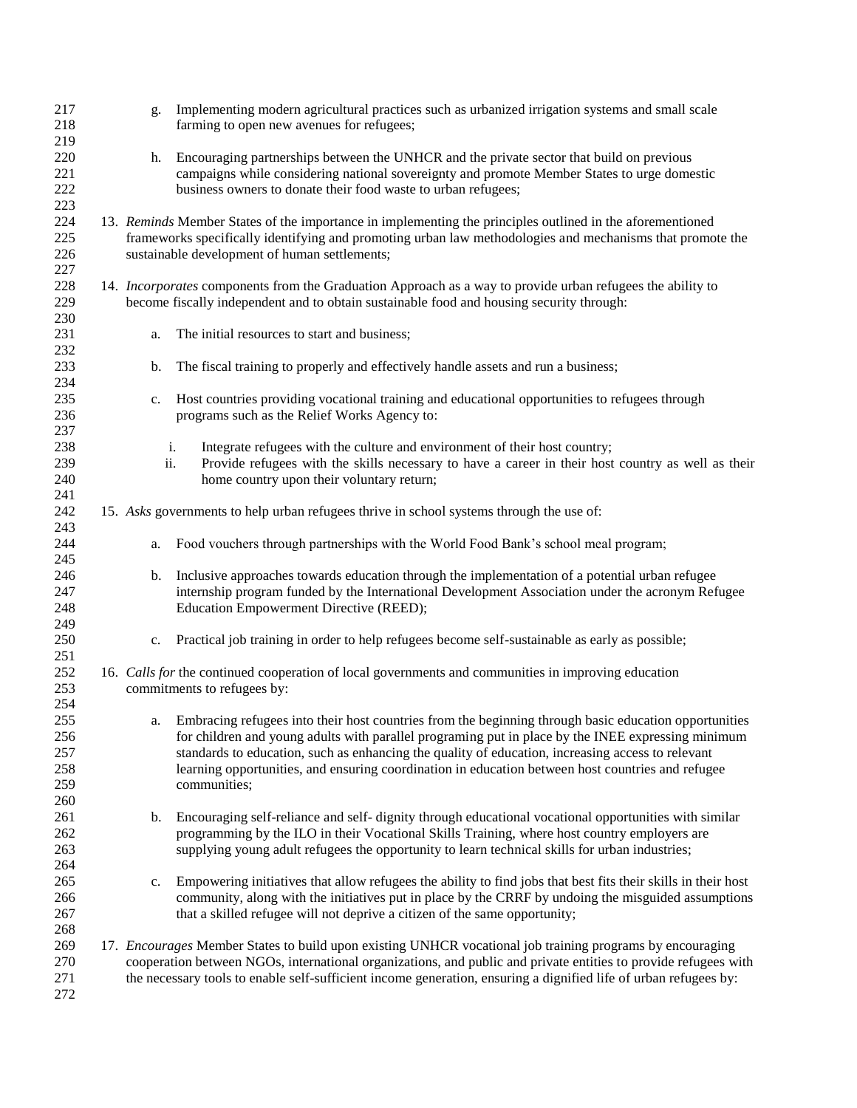| 217        | g.  | Implementing modern agricultural practices such as urbanized irrigation systems and small scale                                                                                                       |
|------------|-----|-------------------------------------------------------------------------------------------------------------------------------------------------------------------------------------------------------|
| 218        |     | farming to open new avenues for refugees;                                                                                                                                                             |
| 219        |     |                                                                                                                                                                                                       |
| 220        | h.  | Encouraging partnerships between the UNHCR and the private sector that build on previous                                                                                                              |
| 221        |     | campaigns while considering national sovereignty and promote Member States to urge domestic                                                                                                           |
| 222<br>223 |     | business owners to donate their food waste to urban refugees;                                                                                                                                         |
| 224        |     | 13. Reminds Member States of the importance in implementing the principles outlined in the aforementioned                                                                                             |
| 225        |     | frameworks specifically identifying and promoting urban law methodologies and mechanisms that promote the                                                                                             |
| 226        |     | sustainable development of human settlements;                                                                                                                                                         |
| 227        |     |                                                                                                                                                                                                       |
| 228        |     | 14. Incorporates components from the Graduation Approach as a way to provide urban refugees the ability to                                                                                            |
| 229        |     | become fiscally independent and to obtain sustainable food and housing security through:                                                                                                              |
| 230        |     |                                                                                                                                                                                                       |
| 231        | a.  | The initial resources to start and business;                                                                                                                                                          |
| 232        |     |                                                                                                                                                                                                       |
| 233        | b.  | The fiscal training to properly and effectively handle assets and run a business;                                                                                                                     |
| 234        |     |                                                                                                                                                                                                       |
| 235        | c.  | Host countries providing vocational training and educational opportunities to refugees through                                                                                                        |
| 236        |     | programs such as the Relief Works Agency to:                                                                                                                                                          |
| 237        |     |                                                                                                                                                                                                       |
| 238        |     | Integrate refugees with the culture and environment of their host country;<br>i.                                                                                                                      |
| 239        | ii. | Provide refugees with the skills necessary to have a career in their host country as well as their                                                                                                    |
| 240        |     | home country upon their voluntary return;                                                                                                                                                             |
| 241        |     |                                                                                                                                                                                                       |
| 242<br>243 |     | 15. Asks governments to help urban refugees thrive in school systems through the use of:                                                                                                              |
| 244        | a.  | Food vouchers through partnerships with the World Food Bank's school meal program;                                                                                                                    |
| 245        |     |                                                                                                                                                                                                       |
| 246        | b.  | Inclusive approaches towards education through the implementation of a potential urban refugee                                                                                                        |
| 247        |     | internship program funded by the International Development Association under the acronym Refugee                                                                                                      |
| 248        |     | Education Empowerment Directive (REED);                                                                                                                                                               |
| 249        |     |                                                                                                                                                                                                       |
| 250        |     | c. Practical job training in order to help refugees become self-sustainable as early as possible;                                                                                                     |
| 251        |     |                                                                                                                                                                                                       |
| 252        |     | 16. Calls for the continued cooperation of local governments and communities in improving education                                                                                                   |
| 253        |     | commitments to refugees by:                                                                                                                                                                           |
| 254        |     |                                                                                                                                                                                                       |
| 255        | a.  | Embracing refugees into their host countries from the beginning through basic education opportunities                                                                                                 |
| 256        |     | for children and young adults with parallel programing put in place by the INEE expressing minimum                                                                                                    |
| 257        |     | standards to education, such as enhancing the quality of education, increasing access to relevant                                                                                                     |
| 258        |     | learning opportunities, and ensuring coordination in education between host countries and refugee                                                                                                     |
| 259        |     | communities;                                                                                                                                                                                          |
| 260        |     |                                                                                                                                                                                                       |
| 261        | b.  | Encouraging self-reliance and self- dignity through educational vocational opportunities with similar<br>programming by the ILO in their Vocational Skills Training, where host country employers are |
| 262        |     | supplying young adult refugees the opportunity to learn technical skills for urban industries;                                                                                                        |
| 263        |     |                                                                                                                                                                                                       |
| 264<br>265 | c.  | Empowering initiatives that allow refugees the ability to find jobs that best fits their skills in their host                                                                                         |
| 266        |     | community, along with the initiatives put in place by the CRRF by undoing the misguided assumptions                                                                                                   |
| 267        |     | that a skilled refugee will not deprive a citizen of the same opportunity;                                                                                                                            |
| 268        |     |                                                                                                                                                                                                       |
| 269        |     | 17. Encourages Member States to build upon existing UNHCR vocational job training programs by encouraging                                                                                             |
| 270        |     | cooperation between NGOs, international organizations, and public and private entities to provide refugees with                                                                                       |
| 271        |     | the necessary tools to enable self-sufficient income generation, ensuring a dignified life of urban refugees by:                                                                                      |
| 272        |     |                                                                                                                                                                                                       |